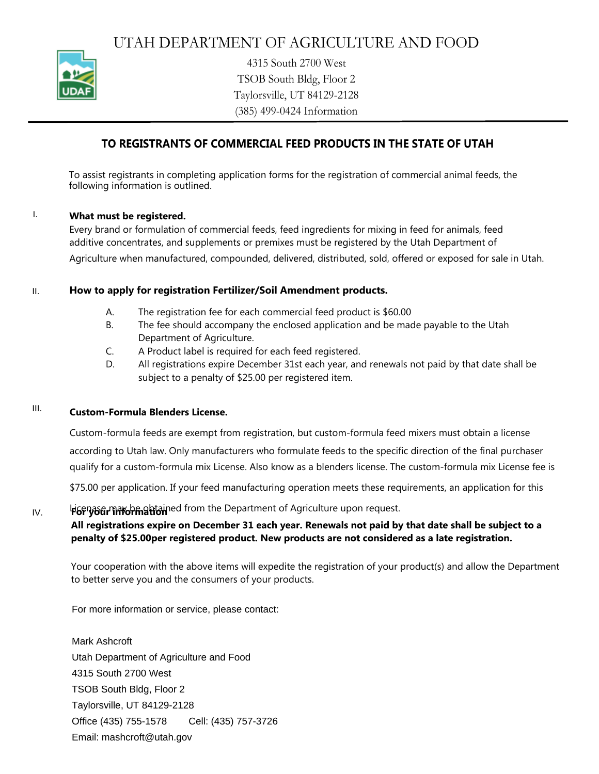

4315 South 2700 West TSOB South Bldg, Floor 2 Taylorsville, UT 84129-2128 (385) 499-0424 Information

# **TO REGISTRANTS OF COMMERCIAL FEED PRODUCTS IN THE STATE OF UTAH**

To assist registrants in completing application forms for the registration of commercial animal feeds, the following information is outlined.

#### **What must be registered.** I.

Every brand or formulation of commercial feeds, feed ingredients for mixing in feed for animals, feed additive concentrates, and supplements or premixes must be registered by the Utah Department of Agriculture when manufactured, compounded, delivered, distributed, sold, offered or exposed for sale in Utah.

#### **How to apply for registration Fertilizer/Soil Amendment products.** II.

- The registration fee for each commercial feed product is \$60.00 A.
- The fee should accompany the enclosed application and be made payable to the Utah Department of Agriculture. B.
- A Product label is required for each feed registered. C.
- All registrations expire December 31st each year, and renewals not paid by that date shall be subject to a penalty of \$25.00 per registered item. D.

#### **CustomFormula Blenders License.** III.

Custom-formula feeds are exempt from registration, but custom-formula feed mixers must obtain a license according to Utah law. Only manufacturers who formulate feeds to the specific direction of the final purchaser qualify for a custom-formula mix License. Also know as a blenders license. The custom-formula mix License fee is \$75.00 per application. If your feed manufacturing operation meets these requirements, an application for this License may be obtained from the Department of Agriculture upon request.

### IV. **For your information**

## **All registrations expire on December 31 each year. Renewals not paid by that date shall be subject to a penalty of \$25.00per registered product. New products are not considered as a late registration.**

Your cooperation with the above items will expedite the registration of your product(s) and allow the Department to better serve you and the consumers of your products.

For more information or service, please contact:

Mark Ashcroft Utah Department of Agriculture and Food 4315 South 2700 West TSOB South Bldg, Floor 2 Taylorsville, UT 84129-2128 Office (435) 755-1578 Cell: (435) 757-3726 Email: mashcroft@utah.gov